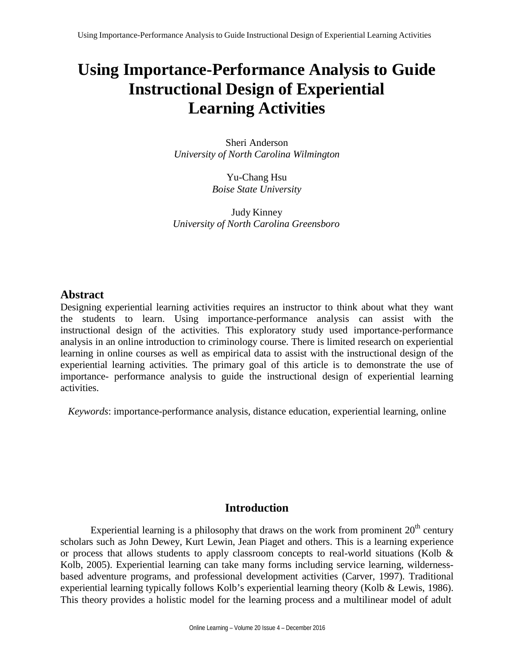# **Using Importance-Performance Analysis to Guide Instructional Design of Experiential Learning Activities**

Sheri Anderson *University of North Carolina Wilmington*

> Yu-Chang Hsu *Boise State University*

Judy Kinney *University of North Carolina Greensboro*

# **Abstract**

Designing experiential learning activities requires an instructor to think about what they want the students to learn. Using importance-performance analysis can assist with the instructional design of the activities. This exploratory study used importance-performance analysis in an online introduction to criminology course. There is limited research on experiential learning in online courses as well as empirical data to assist with the instructional design of the experiential learning activities. The primary goal of this article is to demonstrate the use of importance- performance analysis to guide the instructional design of experiential learning activities.

*Keywords*: importance-performance analysis, distance education, experiential learning, online

# **Introduction**

Experiential learning is a philosophy that draws on the work from prominent  $20<sup>th</sup>$  century scholars such as John Dewey, Kurt Lewin, Jean Piaget and others. This is a learning experience or process that allows students to apply classroom concepts to real-world situations (Kolb & Kolb, 2005). Experiential learning can take many forms including service learning, wildernessbased adventure programs, and professional development activities (Carver, 1997). Traditional experiential learning typically follows Kolb's experiential learning theory (Kolb & Lewis, 1986). This theory provides a holistic model for the learning process and a multilinear model of adult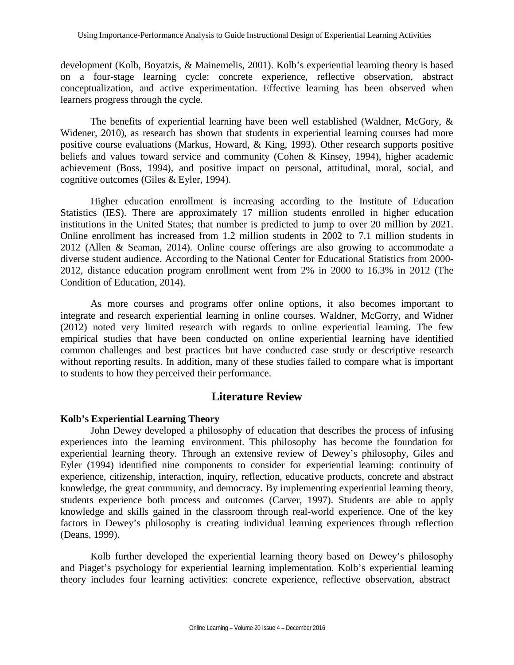development (Kolb, Boyatzis, & Mainemelis, 2001). Kolb's experiential learning theory is based on a four-stage learning cycle: concrete experience, reflective observation, abstract conceptualization, and active experimentation. Effective learning has been observed when learners progress through the cycle.

The benefits of experiential learning have been well established (Waldner, McGory, & Widener, 2010), as research has shown that students in experiential learning courses had more positive course evaluations (Markus, Howard, & King, 1993). Other research supports positive beliefs and values toward service and community (Cohen & Kinsey, 1994), higher academic achievement (Boss, 1994), and positive impact on personal, attitudinal, moral, social, and cognitive outcomes (Giles & Eyler, 1994).

Higher education enrollment is increasing according to the Institute of Education Statistics (IES). There are approximately 17 million students enrolled in higher education institutions in the United States; that number is predicted to jump to over 20 million by 2021. Online enrollment has increased from 1.2 million students in 2002 to 7.1 million students in 2012 (Allen & Seaman, 2014). Online course offerings are also growing to accommodate a diverse student audience. According to the National Center for Educational Statistics from 2000- 2012, distance education program enrollment went from 2% in 2000 to 16.3% in 2012 (The Condition of Education, 2014).

As more courses and programs offer online options, it also becomes important to integrate and research experiential learning in online courses. Waldner, McGorry, and Widner (2012) noted very limited research with regards to online experiential learning. The few empirical studies that have been conducted on online experiential learning have identified common challenges and best practices but have conducted case study or descriptive research without reporting results. In addition, many of these studies failed to compare what is important to students to how they perceived their performance.

# **Literature Review**

## **Kolb's Experiential Learning Theory**

John Dewey developed a philosophy of education that describes the process of infusing experiences into the learning environment. This philosophy has become the foundation for experiential learning theory. Through an extensive review of Dewey's philosophy, Giles and Eyler (1994) identified nine components to consider for experiential learning: continuity of experience, citizenship, interaction, inquiry, reflection, educative products, concrete and abstract knowledge, the great community, and democracy. By implementing experiential learning theory, students experience both process and outcomes (Carver, 1997). Students are able to apply knowledge and skills gained in the classroom through real-world experience. One of the key factors in Dewey's philosophy is creating individual learning experiences through reflection (Deans, 1999).

Kolb further developed the experiential learning theory based on Dewey's philosophy and Piaget's psychology for experiential learning implementation. Kolb's experiential learning theory includes four learning activities: concrete experience, reflective observation, abstract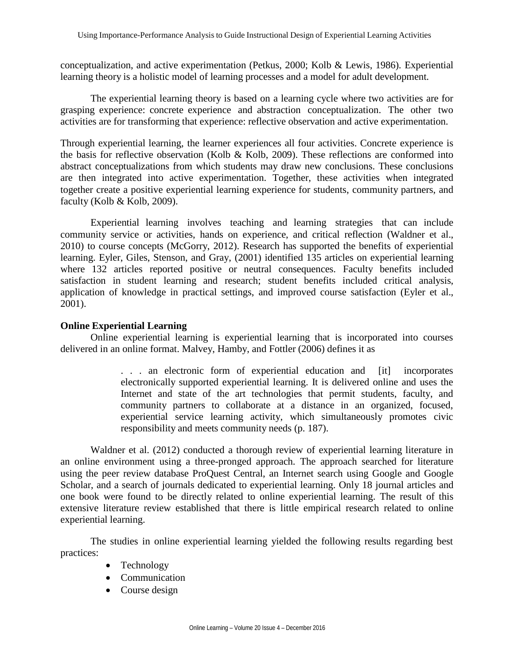conceptualization, and active experimentation (Petkus, 2000; Kolb & Lewis, 1986). Experiential learning theory is a holistic model of learning processes and a model for adult development.

The experiential learning theory is based on a learning cycle where two activities are for grasping experience: concrete experience and abstraction conceptualization. The other two activities are for transforming that experience: reflective observation and active experimentation.

Through experiential learning, the learner experiences all four activities. Concrete experience is the basis for reflective observation (Kolb & Kolb, 2009). These reflections are conformed into abstract conceptualizations from which students may draw new conclusions. These conclusions are then integrated into active experimentation. Together, these activities when integrated together create a positive experiential learning experience for students, community partners, and faculty (Kolb & Kolb, 2009).

Experiential learning involves teaching and learning strategies that can include community service or activities, hands on experience, and critical reflection (Waldner et al., 2010) to course concepts (McGorry, 2012). Research has supported the benefits of experiential learning. Eyler, Giles, Stenson, and Gray, (2001) identified 135 articles on experiential learning where 132 articles reported positive or neutral consequences. Faculty benefits included satisfaction in student learning and research; student benefits included critical analysis, application of knowledge in practical settings, and improved course satisfaction (Eyler et al., 2001).

## **Online Experiential Learning**

Online experiential learning is experiential learning that is incorporated into courses delivered in an online format. Malvey, Hamby, and Fottler (2006) defines it as

> . . . an electronic form of experiential education and [it] incorporates electronically supported experiential learning. It is delivered online and uses the Internet and state of the art technologies that permit students, faculty, and community partners to collaborate at a distance in an organized, focused, experiential service learning activity, which simultaneously promotes civic responsibility and meets community needs (p. 187).

Waldner et al. (2012) conducted a thorough review of experiential learning literature in an online environment using a three-pronged approach. The approach searched for literature using the peer review database ProQuest Central, an Internet search using Google and Google Scholar, and a search of journals dedicated to experiential learning. Only 18 journal articles and one book were found to be directly related to online experiential learning. The result of this extensive literature review established that there is little empirical research related to online experiential learning.

The studies in online experiential learning yielded the following results regarding best practices:

- Technology
- Communication
- Course design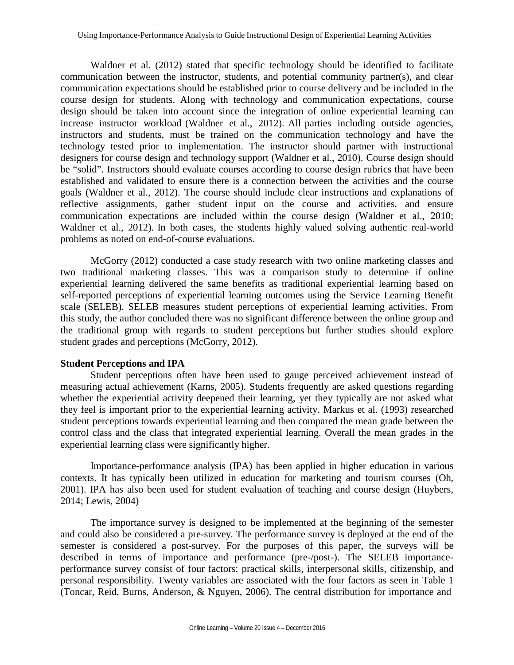Waldner et al. (2012) stated that specific technology should be identified to facilitate communication between the instructor, students, and potential community partner(s), and clear communication expectations should be established prior to course delivery and be included in the course design for students. Along with technology and communication expectations, course design should be taken into account since the integration of online experiential learning can increase instructor workload (Waldner et al., 2012). All parties including outside agencies, instructors and students, must be trained on the communication technology and have the technology tested prior to implementation. The instructor should partner with instructional designers for course design and technology support (Waldner et al., 2010). Course design should be "solid". Instructors should evaluate courses according to course design rubrics that have been established and validated to ensure there is a connection between the activities and the course goals (Waldner et al., 2012). The course should include clear instructions and explanations of reflective assignments, gather student input on the course and activities, and ensure communication expectations are included within the course design (Waldner et al., 2010; Waldner et al., 2012). In both cases, the students highly valued solving authentic real-world problems as noted on end-of-course evaluations.

McGorry (2012) conducted a case study research with two online marketing classes and two traditional marketing classes. This was a comparison study to determine if online experiential learning delivered the same benefits as traditional experiential learning based on self-reported perceptions of experiential learning outcomes using the Service Learning Benefit scale (SELEB). SELEB measures student perceptions of experiential learning activities. From this study, the author concluded there was no significant difference between the online group and the traditional group with regards to student perceptions but further studies should explore student grades and perceptions (McGorry, 2012).

## **Student Perceptions and IPA**

Student perceptions often have been used to gauge perceived achievement instead of measuring actual achievement (Karns, 2005). Students frequently are asked questions regarding whether the experiential activity deepened their learning, yet they typically are not asked what they feel is important prior to the experiential learning activity. Markus et al. (1993) researched student perceptions towards experiential learning and then compared the mean grade between the control class and the class that integrated experiential learning. Overall the mean grades in the experiential learning class were significantly higher.

Importance-performance analysis (IPA) has been applied in higher education in various contexts. It has typically been utilized in education for marketing and tourism courses (Oh, 2001). IPA has also been used for student evaluation of teaching and course design (Huybers, 2014; Lewis, 2004)

The importance survey is designed to be implemented at the beginning of the semester and could also be considered a pre-survey. The performance survey is deployed at the end of the semester is considered a post-survey. For the purposes of this paper, the surveys will be described in terms of importance and performance (pre-/post-). The SELEB importanceperformance survey consist of four factors: practical skills, interpersonal skills, citizenship, and personal responsibility. Twenty variables are associated with the four factors as seen in Table 1 (Toncar, Reid, Burns, Anderson, & Nguyen, 2006). The central distribution for importance and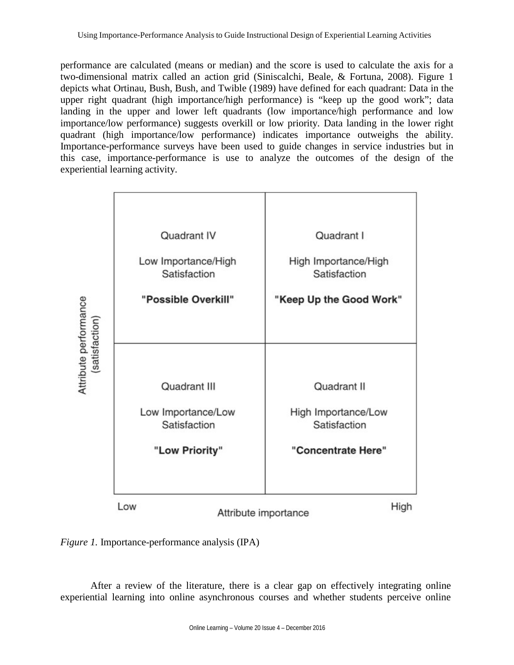performance are calculated (means or median) and the score is used to calculate the axis for a two-dimensional matrix called an action grid (Siniscalchi, Beale, & Fortuna, 2008). Figure 1 depicts what Ortinau, Bush, Bush, and Twible (1989) have defined for each quadrant: Data in the upper right quadrant (high importance/high performance) is "keep up the good work"; data landing in the upper and lower left quadrants (low importance/high performance and low importance/low performance) suggests overkill or low priority. Data landing in the lower right quadrant (high importance/low performance) indicates importance outweighs the ability. Importance-performance surveys have been used to guide changes in service industries but in this case, importance-performance is use to analyze the outcomes of the design of the experiential learning activity.



*Figure 1.* Importance-performance analysis (IPA)

After a review of the literature, there is a clear gap on effectively integrating online experiential learning into online asynchronous courses and whether students perceive online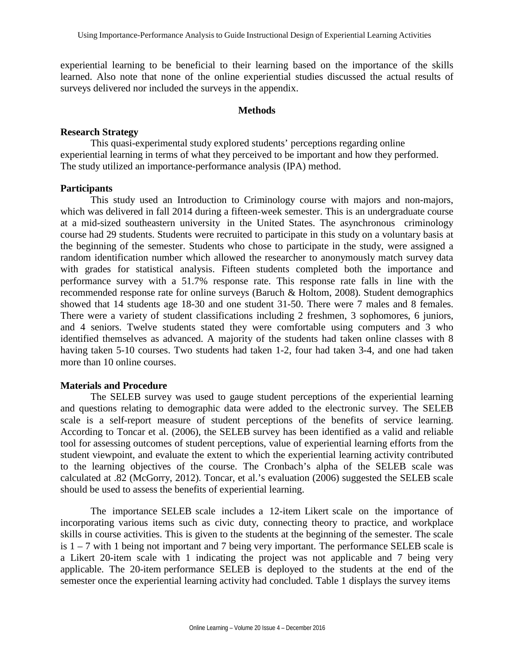experiential learning to be beneficial to their learning based on the importance of the skills learned. Also note that none of the online experiential studies discussed the actual results of surveys delivered nor included the surveys in the appendix.

#### **Methods**

#### **Research Strategy**

This quasi-experimental study explored students' perceptions regarding online experiential learning in terms of what they perceived to be important and how they performed. The study utilized an importance-performance analysis (IPA) method.

#### **Participants**

This study used an Introduction to Criminology course with majors and non-majors, which was delivered in fall 2014 during a fifteen-week semester. This is an undergraduate course at a mid-sized southeastern university in the United States. The asynchronous criminology course had 29 students. Students were recruited to participate in this study on a voluntary basis at the beginning of the semester. Students who chose to participate in the study, were assigned a random identification number which allowed the researcher to anonymously match survey data with grades for statistical analysis. Fifteen students completed both the importance and performance survey with a 51.7% response rate. This response rate falls in line with the recommended response rate for online surveys (Baruch & Holtom, 2008). Student demographics showed that 14 students age 18-30 and one student 31-50. There were 7 males and 8 females. There were a variety of student classifications including 2 freshmen, 3 sophomores, 6 juniors, and 4 seniors. Twelve students stated they were comfortable using computers and 3 who identified themselves as advanced. A majority of the students had taken online classes with 8 having taken 5-10 courses. Two students had taken 1-2, four had taken 3-4, and one had taken more than 10 online courses.

#### **Materials and Procedure**

The SELEB survey was used to gauge student perceptions of the experiential learning and questions relating to demographic data were added to the electronic survey. The SELEB scale is a self-report measure of student perceptions of the benefits of service learning. According to Toncar et al. (2006), the SELEB survey has been identified as a valid and reliable tool for assessing outcomes of student perceptions, value of experiential learning efforts from the student viewpoint, and evaluate the extent to which the experiential learning activity contributed to the learning objectives of the course. The Cronbach's alpha of the SELEB scale was calculated at .82 (McGorry, 2012). Toncar, et al.'s evaluation (2006) suggested the SELEB scale should be used to assess the benefits of experiential learning.

The importance SELEB scale includes a 12-item Likert scale on the importance of incorporating various items such as civic duty, connecting theory to practice, and workplace skills in course activities. This is given to the students at the beginning of the semester. The scale is  $1 - 7$  with 1 being not important and 7 being very important. The performance SELEB scale is a Likert 20-item scale with 1 indicating the project was not applicable and 7 being very applicable. The 20-item performance SELEB is deployed to the students at the end of the semester once the experiential learning activity had concluded. Table 1 displays the survey items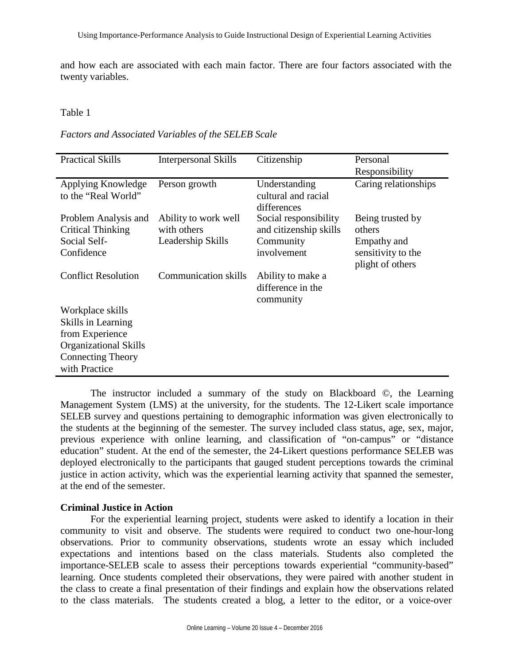and how each are associated with each main factor. There are four factors associated with the twenty variables.

#### Table 1

*Factors and Associated Variables of the SELEB Scale*

| <b>Practical Skills</b>                                                        | <b>Interpersonal Skills</b>                              | Citizenship                                                                 | Personal<br>Responsibility                                                          |
|--------------------------------------------------------------------------------|----------------------------------------------------------|-----------------------------------------------------------------------------|-------------------------------------------------------------------------------------|
| Applying Knowledge<br>to the "Real World"                                      | Person growth                                            | Understanding<br>cultural and racial<br>differences                         | Caring relationships                                                                |
| Problem Analysis and<br><b>Critical Thinking</b><br>Social Self-<br>Confidence | Ability to work well<br>with others<br>Leadership Skills | Social responsibility<br>and citizenship skills<br>Community<br>involvement | Being trusted by<br>others<br>Empathy and<br>sensitivity to the<br>plight of others |
| <b>Conflict Resolution</b>                                                     | <b>Communication skills</b>                              | Ability to make a<br>difference in the<br>community                         |                                                                                     |
| Workplace skills                                                               |                                                          |                                                                             |                                                                                     |
| Skills in Learning<br>from Experience                                          |                                                          |                                                                             |                                                                                     |
| <b>Organizational Skills</b>                                                   |                                                          |                                                                             |                                                                                     |
| <b>Connecting Theory</b><br>with Practice                                      |                                                          |                                                                             |                                                                                     |

The instructor included a summary of the study on Blackboard ©, the Learning Management System (LMS) at the university, for the students. The 12-Likert scale importance SELEB survey and questions pertaining to demographic information was given electronically to the students at the beginning of the semester. The survey included class status, age, sex, major, previous experience with online learning, and classification of "on-campus" or "distance education" student. At the end of the semester, the 24-Likert questions performance SELEB was deployed electronically to the participants that gauged student perceptions towards the criminal justice in action activity, which was the experiential learning activity that spanned the semester, at the end of the semester.

## **Criminal Justice in Action**

For the experiential learning project, students were asked to identify a location in their community to visit and observe. The students were required to conduct two one-hour-long observations. Prior to community observations, students wrote an essay which included expectations and intentions based on the class materials. Students also completed the importance-SELEB scale to assess their perceptions towards experiential "community-based" learning. Once students completed their observations, they were paired with another student in the class to create a final presentation of their findings and explain how the observations related to the class materials. The students created a blog, a letter to the editor, or a voice-over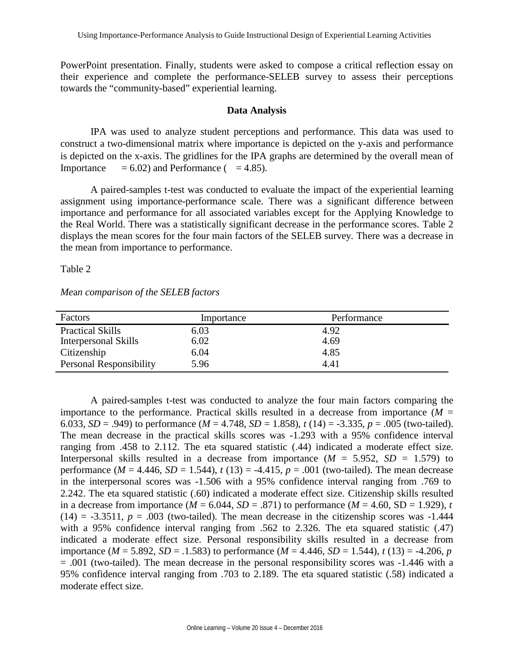PowerPoint presentation. Finally, students were asked to compose a critical reflection essay on their experience and complete the performance-SELEB survey to assess their perceptions towards the "community-based" experiential learning.

#### **Data Analysis**

IPA was used to analyze student perceptions and performance. This data was used to construct a two-dimensional matrix where importance is depicted on the y-axis and performance is depicted on the x-axis. The gridlines for the IPA graphs are determined by the overall mean of Importance  $= 6.02$ ) and Performance ( $= 4.85$ ).

A paired-samples t-test was conducted to evaluate the impact of the experiential learning assignment using importance-performance scale. There was a significant difference between importance and performance for all associated variables except for the Applying Knowledge to the Real World. There was a statistically significant decrease in the performance scores. Table 2 displays the mean scores for the four main factors of the SELEB survey. There was a decrease in the mean from importance to performance.

Table 2

| Mean comparison of the SELEB factors |  |  |
|--------------------------------------|--|--|
|                                      |  |  |

| Factors                 | Importance | Performance |  |
|-------------------------|------------|-------------|--|
| <b>Practical Skills</b> | 6.03       | 4.92        |  |
| Interpersonal Skills    | 6.02       | 4.69        |  |
| Citizenship             | 6.04       | 4.85        |  |
| Personal Responsibility | 5.96       | 4.41        |  |

A paired-samples t-test was conducted to analyze the four main factors comparing the importance to the performance. Practical skills resulted in a decrease from importance  $(M =$ 6.033, *SD* = .949) to performance (*M* = 4.748, *SD* = 1.858), *t* (14) = -3.335, *p* = .005 (two-tailed). The mean decrease in the practical skills scores was -1.293 with a 95% confidence interval ranging from .458 to 2.112. The eta squared statistic (.44) indicated a moderate effect size. Interpersonal skills resulted in a decrease from importance  $(M = 5.952, SD = 1.579)$  to performance ( $M = 4.446$ ,  $SD = 1.544$ ),  $t(13) = -4.415$ ,  $p = .001$  (two-tailed). The mean decrease in the interpersonal scores was -1.506 with a 95% confidence interval ranging from .769 to 2.242. The eta squared statistic (.60) indicated a moderate effect size. Citizenship skills resulted in a decrease from importance ( $M = 6.044$ ,  $SD = .871$ ) to performance ( $M = 4.60$ ,  $SD = 1.929$ ), *t*  $(14) = -3.3511$ ,  $p = .003$  (two-tailed). The mean decrease in the citizenship scores was  $-1.444$ with a 95% confidence interval ranging from .562 to 2.326. The eta squared statistic  $(0.47)$ indicated a moderate effect size. Personal responsibility skills resulted in a decrease from importance ( $M = 5.892$ ,  $SD = .1.583$ ) to performance ( $M = 4.446$ ,  $SD = 1.544$ ),  $t(13) = -4.206$ , *p* = .001 (two-tailed). The mean decrease in the personal responsibility scores was -1.446 with a 95% confidence interval ranging from .703 to 2.189. The eta squared statistic (.58) indicated a moderate effect size.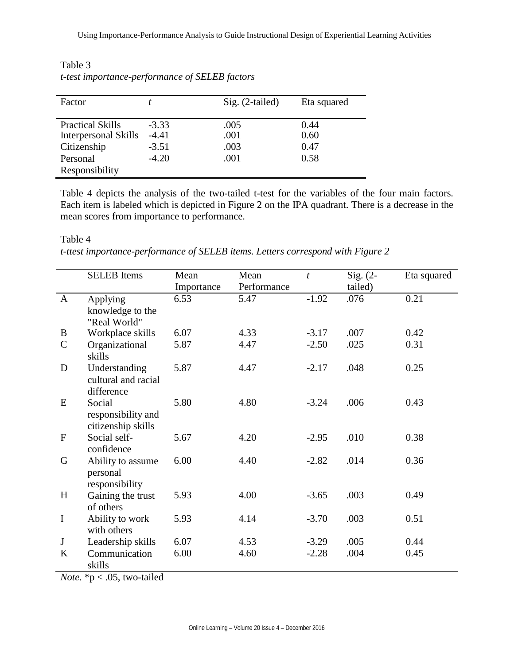| Factor                                          |                    | Sig. (2-tailed) | Eta squared  |
|-------------------------------------------------|--------------------|-----------------|--------------|
| <b>Practical Skills</b><br>Interpersonal Skills | $-3.33$<br>$-4.41$ | .005<br>.001    | 0.44<br>0.60 |
| Citizenship                                     | $-3.51$            | .003            | 0.47         |
| Personal                                        | $-4.20$            | .001            | 0.58         |
| Responsibility                                  |                    |                 |              |

Table 3 *t-test importance-performance of SELEB factors*

Table 4 depicts the analysis of the two-tailed t-test for the variables of the four main factors. Each item is labeled which is depicted in Figure 2 on the IPA quadrant. There is a decrease in the mean scores from importance to performance.

Table 4

*t-ttest importance-performance of SELEB items. Letters correspond with Figure 2*

|              | <b>SELEB</b> Items                                 | Mean       | Mean        | $\boldsymbol{t}$ | Sig. $(2-$ | Eta squared |
|--------------|----------------------------------------------------|------------|-------------|------------------|------------|-------------|
|              |                                                    | Importance | Performance |                  | tailed)    |             |
| $\mathbf{A}$ | Applying                                           | 6.53       | 5.47        | $-1.92$          | .076       | 0.21        |
|              | knowledge to the                                   |            |             |                  |            |             |
|              | "Real World"                                       |            |             |                  |            |             |
| B            | Workplace skills                                   | 6.07       | 4.33        | $-3.17$          | .007       | 0.42        |
| $\mathbf C$  | Organizational<br>skills                           | 5.87       | 4.47        | $-2.50$          | .025       | 0.31        |
| D            | Understanding<br>cultural and racial<br>difference | 5.87       | 4.47        | $-2.17$          | .048       | 0.25        |
| E            | Social<br>responsibility and<br>citizenship skills | 5.80       | 4.80        | $-3.24$          | .006       | 0.43        |
| $\mathbf{F}$ | Social self-<br>confidence                         | 5.67       | 4.20        | $-2.95$          | .010       | 0.38        |
| G            | Ability to assume<br>personal<br>responsibility    | 6.00       | 4.40        | $-2.82$          | .014       | 0.36        |
| H            | Gaining the trust                                  | 5.93       | 4.00        | $-3.65$          | .003       | 0.49        |
|              | of others                                          |            |             |                  |            |             |
| $\mathbf I$  | Ability to work<br>with others                     | 5.93       | 4.14        | $-3.70$          | .003       | 0.51        |
| $\mathbf J$  | Leadership skills                                  | 6.07       | 4.53        | $-3.29$          | .005       | 0.44        |
| K            | Communication<br>skills                            | 6.00       | 4.60        | $-2.28$          | .004       | 0.45        |

*Note.* \*p < .05, two-tailed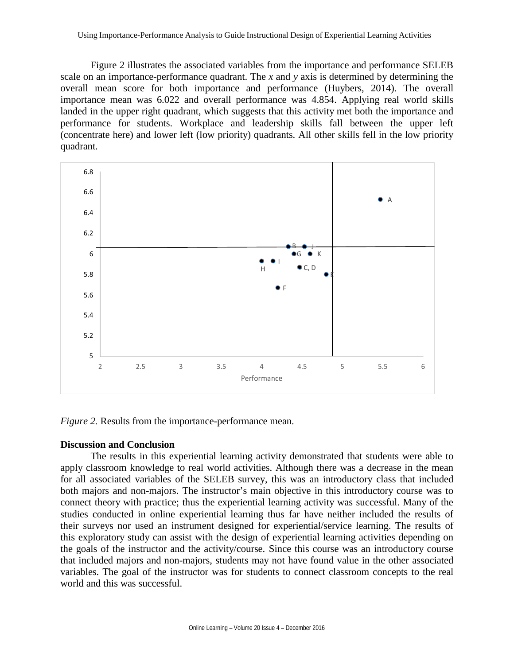Figure 2 illustrates the associated variables from the importance and performance SELEB scale on an importance-performance quadrant. The *x* and *y* axis is determined by determining the overall mean score for both importance and performance (Huybers, 2014). The overall importance mean was 6.022 and overall performance was 4.854. Applying real world skills landed in the upper right quadrant, which suggests that this activity met both the importance and performance for students. Workplace and leadership skills fall between the upper left (concentrate here) and lower left (low priority) quadrants. All other skills fell in the low priority quadrant.



*Figure 2.* Results from the importance-performance mean.

## **Discussion and Conclusion**

The results in this experiential learning activity demonstrated that students were able to apply classroom knowledge to real world activities. Although there was a decrease in the mean for all associated variables of the SELEB survey, this was an introductory class that included both majors and non-majors. The instructor's main objective in this introductory course was to connect theory with practice; thus the experiential learning activity was successful. Many of the studies conducted in online experiential learning thus far have neither included the results of their surveys nor used an instrument designed for experiential/service learning. The results of this exploratory study can assist with the design of experiential learning activities depending on the goals of the instructor and the activity/course. Since this course was an introductory course that included majors and non-majors, students may not have found value in the other associated variables. The goal of the instructor was for students to connect classroom concepts to the real world and this was successful.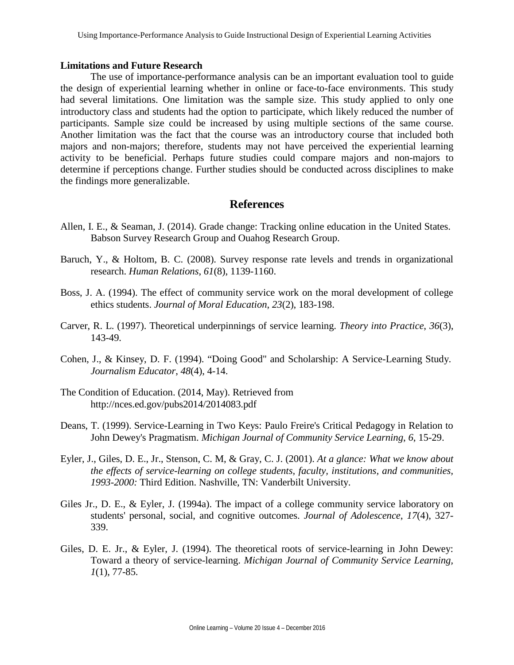#### **Limitations and Future Research**

The use of importance-performance analysis can be an important evaluation tool to guide the design of experiential learning whether in online or face-to-face environments. This study had several limitations. One limitation was the sample size. This study applied to only one introductory class and students had the option to participate, which likely reduced the number of participants. Sample size could be increased by using multiple sections of the same course. Another limitation was the fact that the course was an introductory course that included both majors and non-majors; therefore, students may not have perceived the experiential learning activity to be beneficial. Perhaps future studies could compare majors and non-majors to determine if perceptions change. Further studies should be conducted across disciplines to make the findings more generalizable.

# **References**

- Allen, I. E., & Seaman, J. (2014). Grade change: Tracking online education in the United States. Babson Survey Research Group and Ouahog Research Group.
- Baruch, Y., & Holtom, B. C. (2008). Survey response rate levels and trends in organizational research. *Human Relations*, *61*(8), 1139-1160.
- Boss, J. A. (1994). The effect of community service work on the moral development of college ethics students. *Journal of Moral Education*, *23*(2), 183-198.
- Carver, R. L. (1997). Theoretical underpinnings of service learning. *Theory into Practice*, *36*(3), 143-49.
- Cohen, J., & Kinsey, D. F. (1994). "Doing Good" and Scholarship: A Service-Learning Study. *Journalism Educator*, *48*(4), 4-14.
- The Condition of Education. (2014, May). Retrieved fro[m](http://nces.ed.gov/pubs2014/2014083.pdf) <http://nces.ed.gov/pubs2014/2014083.pdf>
- Deans, T. (1999). Service-Learning in Two Keys: Paulo Freire's Critical Pedagogy in Relation to John Dewey's Pragmatism. *Michigan Journal of Community Service Learning*, *6*, 15-29.
- Eyler, J., Giles, D. E., Jr., Stenson, C. M, & Gray, C. J. (2001). *At a glance: What we know about the effects of service-learning on college students, faculty, institutions, and communities, 1993-2000:* Third Edition. Nashville, TN: Vanderbilt University.
- Giles Jr., D. E., & Eyler, J. (1994a). The impact of a college community service laboratory on students' personal, social, and cognitive outcomes. *Journal of Adolescence*, *17*(4), 327- 339.
- Giles, D. E. Jr., & Eyler, J. (1994). The theoretical roots of service-learning in John Dewey: Toward a theory of service-learning. *Michigan Journal of Community Service Learning, 1*(1), 77-85.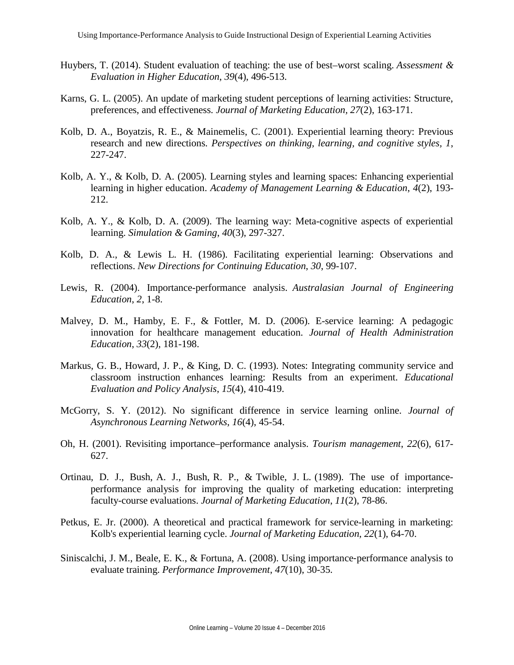- Huybers, T. (2014). Student evaluation of teaching: the use of best–worst scaling. *Assessment & Evaluation in Higher Education*, *39*(4), 496-513.
- Karns, G. L. (2005). An update of marketing student perceptions of learning activities: Structure, preferences, and effectiveness. *Journal of Marketing Education, 27*(2), 163-171.
- Kolb, D. A., Boyatzis, R. E., & Mainemelis, C. (2001). Experiential learning theory: Previous research and new directions. *Perspectives on thinking, learning, and cognitive styles, 1*, 227-247.
- Kolb, A. Y., & Kolb, D. A. (2005). Learning styles and learning spaces: Enhancing experiential learning in higher education. *Academy of Management Learning & Education*, *4*(2), 193- 212.
- Kolb, A. Y., & Kolb, D. A. (2009). The learning way: Meta-cognitive aspects of experiential learning. *Simulation & Gaming*, *40*(3), 297-327.
- Kolb, D. A., & Lewis L. H. (1986). Facilitating experiential learning: Observations and reflections. *New Directions for Continuing Education*, *30*, 99-107.
- Lewis, R. (2004). Importance-performance analysis. *Australasian Journal of Engineering Education*, *2*, 1-8.
- Malvey, D. M., Hamby, E. F., & Fottler, M. D. (2006). E-service learning: A pedagogic innovation for healthcare management education. *Journal of Health Administration Education*, *33*(2), 181-198.
- Markus, G. B., Howard, J. P., & King, D. C. (1993). Notes: Integrating community service and classroom instruction enhances learning: Results from an experiment. *Educational Evaluation and Policy Analysis*, *15*(4), 410-419.
- McGorry, S. Y. (2012). No significant difference in service learning online. *Journal of Asynchronous Learning Networks*, *16*(4), 45-54.
- Oh, H. (2001). Revisiting importance–performance analysis. *Tourism management*, *22*(6), 617- 627.
- Ortinau, D. J., Bush, A. J., Bush, R. P., & Twible, J. L. (1989). The use of importanceperformance analysis for improving the quality of marketing education: interpreting faculty-course evaluations. *Journal of Marketing Education*, *11*(2), 78-86.
- Petkus, E. Jr. (2000). A theoretical and practical framework for service-learning in marketing: Kolb's experiential learning cycle. *Journal of Marketing Education*, *22*(1), 64-70.
- Siniscalchi, J. M., Beale, E. K., & Fortuna, A. (2008). Using importance‐performance analysis to evaluate training. *Performance Improvement*, *47*(10), 30-35.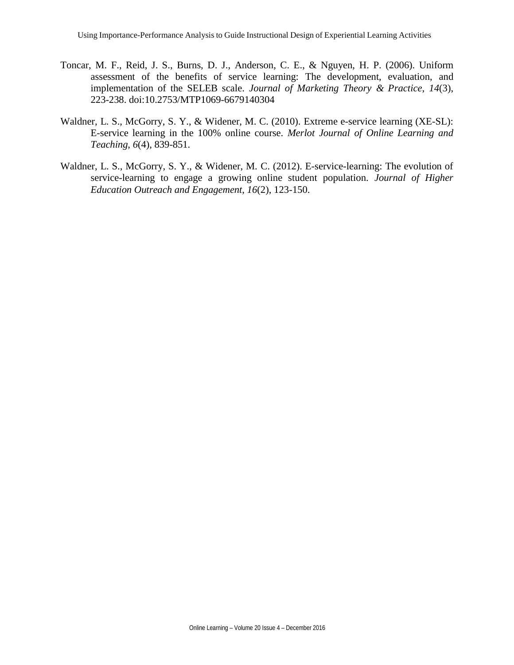- Toncar, M. F., Reid, J. S., Burns, D. J., Anderson, C. E., & Nguyen, H. P. (2006). Uniform assessment of the benefits of service learning: The development, evaluation, and implementation of the SELEB scale. *Journal of Marketing Theory & Practice*, *14*(3), 223-238. doi:10.2753/MTP1069-6679140304
- Waldner, L. S., McGorry, S. Y., & Widener, M. C. (2010). Extreme e-service learning (XE-SL): E-service learning in the 100% online course. *Merlot Journal of Online Learning and Teaching*, *6*(4), 839-851.
- Waldner, L. S., McGorry, S. Y., & Widener, M. C. (2012). E-service-learning: The evolution of service-learning to engage a growing online student population. *Journal of Higher Education Outreach and Engagement*, *16*(2), 123-150.